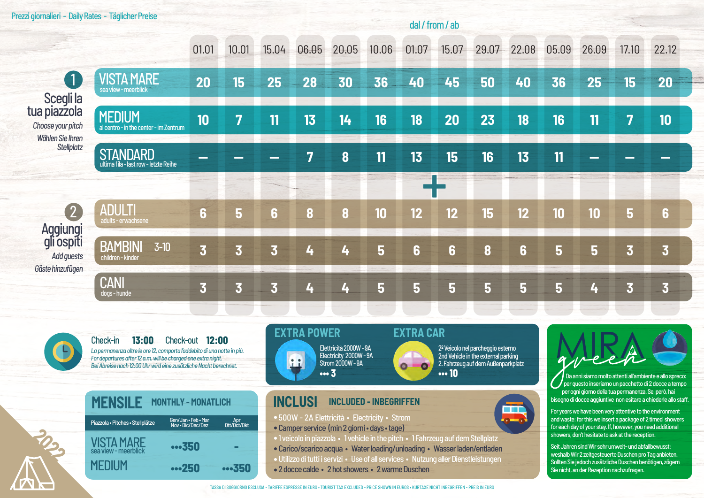### Prezzi giornalieri - Daily Rates - Täglicher Preise

#### 01.01 15.04 06.05  $20.05$  $10.06$ 15.07 29.07 22.08 05.09 26.09 22.12  $10.01$ 01.07 17.10  $\bullet$ **VISTA MARE** 20 15 25 28 30 36 40 45 50 40 36 25 15 20 cea view - meerhlich Scegli la tua piazzola **MEDIUM** 10 7 13  $14$ 16 18 20 23 18 16 11  $\overline{7}$ 10 11 Choose your pitch al centro - in the center - im Zentrum Wählen Sie Ihren **Stellplatz STANDARD** 15 8  $11$ 13 16 13 11 lultima fila - last row - letzte Reihe ANUI TI  $\overline{2}$  $12$ 6  $\overline{5}$ 10  $12$ 12 15 10 6  $\overline{\mathbf{a}}$  $\bf{8}$ 10 5 6 adults - erwachsene Aggiungi gli ospiti **BAMBINI**  $3-10$  $\overline{\mathbf{3}}$  $\overline{\mathbf{3}}$ 5 6  $\overline{\mathbf{3}}$ 4 6  $\mathbf{a}$ 6 5 5 3 3 L. **Add auests** children - kinder Gäste hinzufügen CANI  $\overline{\mathbf{3}}$ 5  $\overline{\mathbf{3}}$ 3 5 5 5 5 5 3 3 4 4 4 doas-hunde

 $13:00$ Check-out 12:00 Check-in La permanenza oltre le ore 12, comporta l'addebito di una notte in più. For departures after 12 a.m. will be charged one extra night. Bei Abreise nach 12:00 Uhr wird eine zusätzliche Nacht berechnet.





Elettricità 2000W - 9A Electricity 2000W-9A **SE** Strom 2000W - 9A  $...3$ 

## **EXTRA CAR**

 $\circ$ 

dal / from / ab

2º Veicolo nel parcheggio esterno 2nd Vehicle in the external parking 2. Fahrzeug auf dem Außenparkplatz  $\bullet$ ... 10

再

### **INCLUSI INCLUDED - INBEGRIFFEN**

- 500W 2A Elettricità · Electricity · Strom
- Camper service (min 2 giorni days tage)
- .1 veicolo in piazzola . 1 vehicle in the pitch . 1 Fahrzeug auf dem Stellplatz
- · Carico/scarico acqua · Water loading/unloading · Wasser laden/entladen
- · Utilizzo di tutti i servizi · Use of all services · Nutzung aller Dienstleistungen
- 2 docce calde 2 hot showers 2 warme Duschen



Da anni siamo molto attenti all'ambiente e allo spreco: per questo inseriamo un pacchetto di 2 docce a tempo per ogni giorno della tua permanenza. Se, però, hai bisogno di docce aggiuntive non esitare a chiederle allo staff

For years we have been very attentive to the environment and waste: for this we insert a package of 2 timed showers for each day of your stay. If, however, you need additional showers, don't hesitate to ask at the reception.

Seit Jahren sind Wir sehr umwelt- und abfallbewusst: weshalb Wir 2 zeitgesteuerte Duschen pro Tag anbieten. Sollten Sie jedoch zusätzliche Duschen benötigen, zögern Sie nicht, an der Rezention nachzufragen.